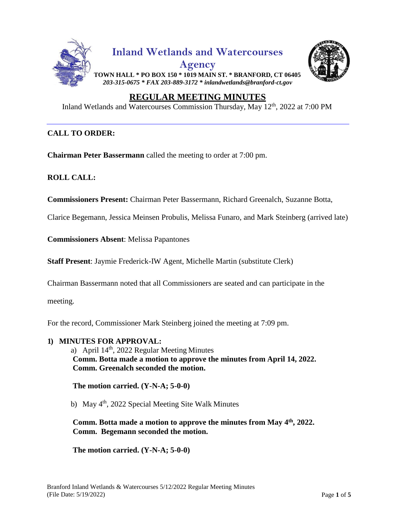



# **REGULAR MEETING MINUTES**

Inland Wetlands and Watercourses Commission Thursday, May 12<sup>th</sup>, 2022 at 7:00 PM

### **CALL TO ORDER:**

**Chairman Peter Bassermann** called the meeting to order at 7:00 pm.

**ROLL CALL:**

**Commissioners Present:** Chairman Peter Bassermann, Richard Greenalch, Suzanne Botta,

Clarice Begemann, Jessica Meinsen Probulis, Melissa Funaro, and Mark Steinberg (arrived late)

**Commissioners Absent**: Melissa Papantones

**Staff Present**: Jaymie Frederick-IW Agent, Michelle Martin (substitute Clerk)

Chairman Bassermann noted that all Commissioners are seated and can participate in the

meeting.

For the record, Commissioner Mark Steinberg joined the meeting at 7:09 pm.

**1) MINUTES FOR APPROVAL:** a) April  $14<sup>th</sup>$ , 2022 Regular Meeting Minutes **Comm. Botta made a motion to approve the minutes from April 14, 2022. Comm. Greenalch seconded the motion.**

 **The motion carried. (Y-N-A; 5-0-0)** 

b) May 4<sup>th</sup>, 2022 Special Meeting Site Walk Minutes

 **Comm. Botta made a motion to approve the minutes from May 4 th , 2022. Comm. Begemann seconded the motion.**

 **The motion carried. (Y-N-A; 5-0-0)**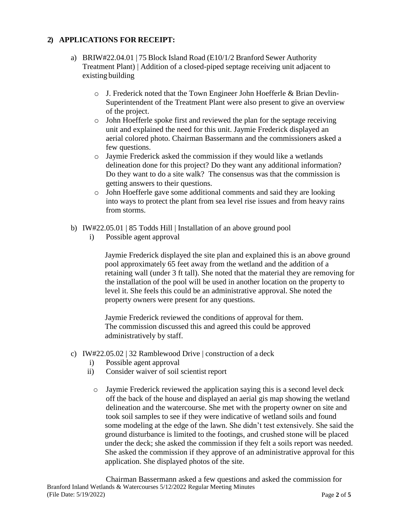# **2) APPLICATIONS FOR RECEIPT:**

- a) BRIW#22.04.01 | 75 Block Island Road (E10/1/2 Branford Sewer Authority Treatment Plant) | Addition of a closed-piped septage receiving unit adjacent to existing building
	- $\circ$  J. Frederick noted that the Town Engineer John Hoefferle & Brian Devlin-Superintendent of the Treatment Plant were also present to give an overview of the project.
	- o John Hoefferle spoke first and reviewed the plan for the septage receiving unit and explained the need for this unit. Jaymie Frederick displayed an aerial colored photo. Chairman Bassermann and the commissioners asked a few questions.
	- o Jaymie Frederick asked the commission if they would like a wetlands delineation done for this project? Do they want any additional information? Do they want to do a site walk? The consensus was that the commission is getting answers to their questions.
	- o John Hoefferle gave some additional comments and said they are looking into ways to protect the plant from sea level rise issues and from heavy rains from storms.
- b) IW#22.05.01 | 85 Todds Hill | Installation of an above ground pool
	- i) Possible agent approval

Jaymie Frederick displayed the site plan and explained this is an above ground pool approximately 65 feet away from the wetland and the addition of a retaining wall (under 3 ft tall). She noted that the material they are removing for the installation of the pool will be used in another location on the property to level it. She feels this could be an administrative approval. She noted the property owners were present for any questions.

Jaymie Frederick reviewed the conditions of approval for them. The commission discussed this and agreed this could be approved administratively by staff.

- c) IW#22.05.02 | 32 Ramblewood Drive | construction of a deck
	- i) Possible agent approval
	- ii) Consider waiver of soil scientist report
		- o Jaymie Frederick reviewed the application saying this is a second level deck off the back of the house and displayed an aerial gis map showing the wetland delineation and the watercourse. She met with the property owner on site and took soil samples to see if they were indicative of wetland soils and found some modeling at the edge of the lawn. She didn't test extensively. She said the ground disturbance is limited to the footings, and crushed stone will be placed under the deck; she asked the commission if they felt a soils report was needed. She asked the commission if they approve of an administrative approval for this application. She displayed photos of the site.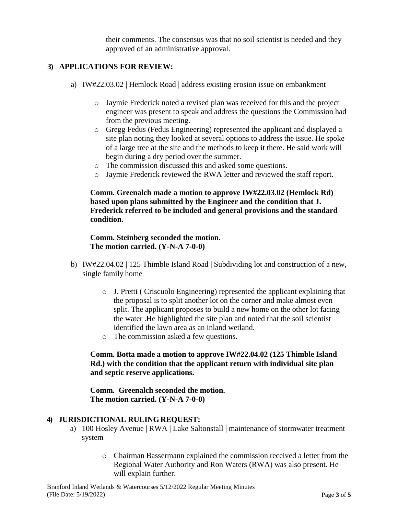their comments. The consensus was that no soil scientist is needed and they approved of an administrative approval.

# **3) APPLICATIONS FOR REVIEW:**

- a) IW#22.03.02 | Hemlock Road | address existing erosion issue on embankment
	- o Jaymie Frederick noted a revised plan was received for this and the project engineer was present to speak and address the questions the Commission had from the previous meeting.
	- o Gregg Fedus (Fedus Engineering) represented the applicant and displayed a site plan noting they looked at several options to address the issue. He spoke of a large tree at the site and the methods to keep it there. He said work will begin during a dry period over the summer.
	- o The commission discussed this and asked some questions.
	- o Jaymie Frederick reviewed the RWA letter and reviewed the staff report.

**Comm. Greenalch made a motion to approve IW#22.03.02 (Hemlock Rd) based upon plans submitted by the Engineer and the condition that J. Frederick referred to be included and general provisions and the standard condition.**

# **Comm. Steinberg seconded the motion. The motion carried. (Y-N-A 7-0-0)**

- b) IW#22.04.02 | 125 Thimble Island Road | Subdividing lot and construction of a new, single family home
	- $\circ$  J. Pretti ( Criscuolo Engineering) represented the applicant explaining that the proposal is to split another lot on the corner and make almost even split. The applicant proposes to build a new home on the other lot facing the water .He highlighted the site plan and noted that the soil scientist identified the lawn area as an inland wetland.
	- o The commission asked a few questions.

# **Comm. Botta made a motion to approve IW#22.04.02 (125 Thimble Island Rd.) with the condition that the applicant return with individual site plan and septic reserve applications.**

### **Comm. Greenalch seconded the motion. The motion carried. (Y-N-A 7-0-0)**

# **4) JURISDICTIONAL RULING REQUEST:**

- a) 100 Hosley Avenue | RWA | Lake Saltonstall | maintenance of stormwater treatment system
	- o Chairman Bassermann explained the commission received a letter from the Regional Water Authority and Ron Waters (RWA) was also present. He will explain further.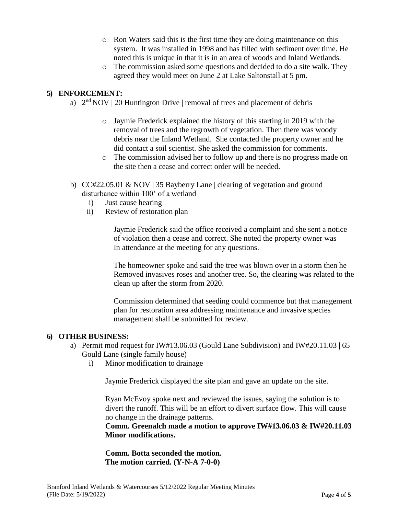- o Ron Waters said this is the first time they are doing maintenance on this system. It was installed in 1998 and has filled with sediment over time. He noted this is unique in that it is in an area of woods and Inland Wetlands.
- $\circ$  The commission asked some questions and decided to do a site walk. They agreed they would meet on June 2 at Lake Saltonstall at 5 pm.

# **5) ENFORCEMENT:**

- a)  $2<sup>nd</sup> NOV | 20$  Huntington Drive | removal of trees and placement of debris
	- o Jaymie Frederick explained the history of this starting in 2019 with the removal of trees and the regrowth of vegetation. Then there was woody debris near the Inland Wetland. She contacted the property owner and he did contact a soil scientist. She asked the commission for comments.
	- o The commission advised her to follow up and there is no progress made on the site then a cease and correct order will be needed.
- b) CC#22.05.01 & NOV | 35 Bayberry Lane | clearing of vegetation and ground disturbance within 100' of a wetland
	- i) Just cause hearing
	- ii) Review of restoration plan

Jaymie Frederick said the office received a complaint and she sent a notice of violation then a cease and correct. She noted the property owner was In attendance at the meeting for any questions.

The homeowner spoke and said the tree was blown over in a storm then he Removed invasives roses and another tree. So, the clearing was related to the clean up after the storm from 2020.

Commission determined that seeding could commence but that management plan for restoration area addressing maintenance and invasive species management shall be submitted for review.

### **6) OTHER BUSINESS:**

- a) Permit mod request for IW#13.06.03 (Gould Lane Subdivision) and IW#20.11.03 | 65 Gould Lane (single family house)
	- i) Minor modification to drainage

Jaymie Frederick displayed the site plan and gave an update on the site.

Ryan McEvoy spoke next and reviewed the issues, saying the solution is to divert the runoff. This will be an effort to divert surface flow. This will cause no change in the drainage patterns.

**Comm. Greenalch made a motion to approve IW#13.06.03 & IW#20.11.03 Minor modifications.**

**Comm. Botta seconded the motion. The motion carried. (Y-N-A 7-0-0)**